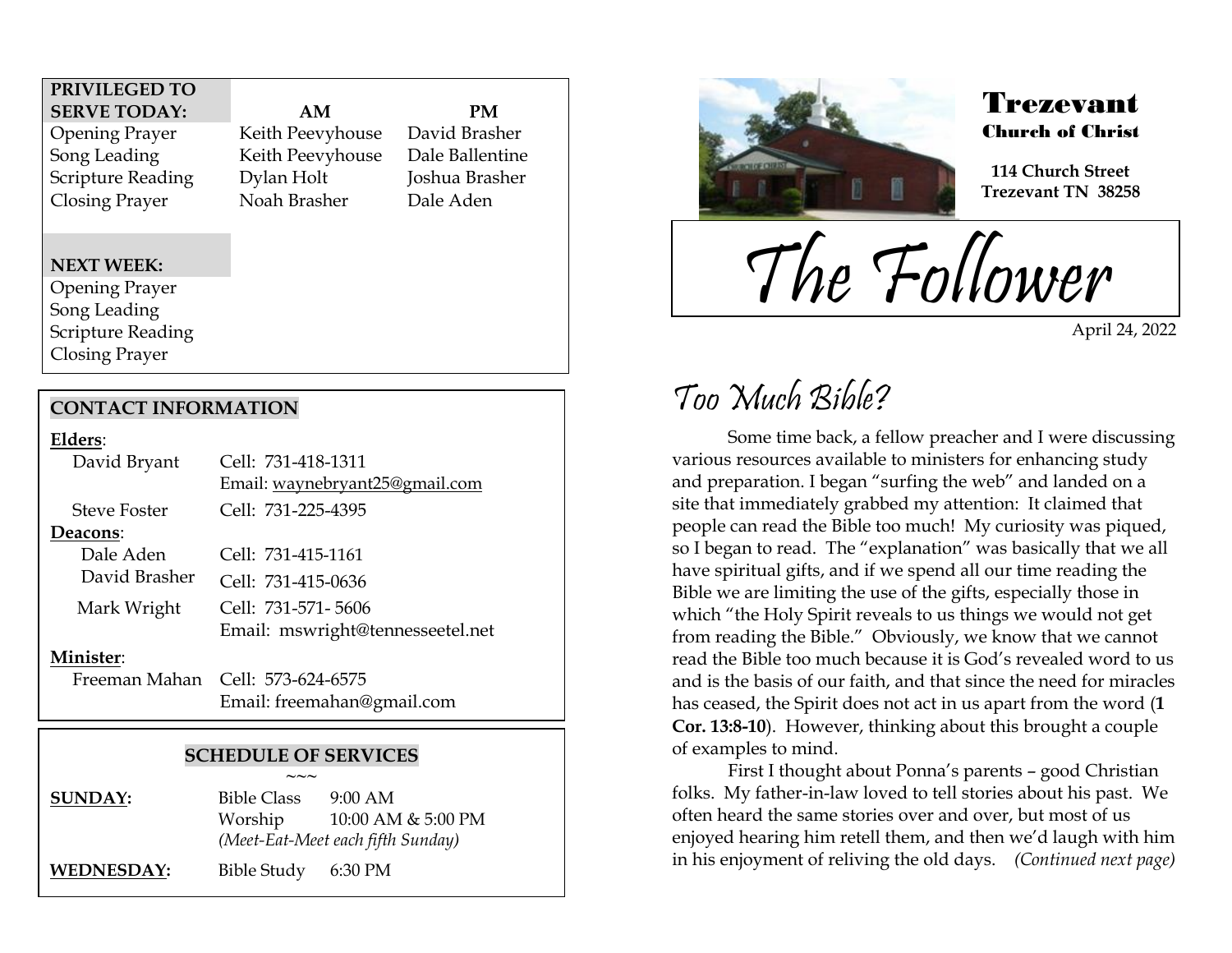### **PRIVILEGED TO SERVE TODAY: AM PM**

Opening Prayer Keith Peevyhouse David Brasher Song Leading Keith Peevyhouse Dale Ballentine Scripture Reading Dylan Holt Joshua Brasher Closing Prayer Noah Brasher Dale Aden

#### **NEXT WEEK:**

Opening Prayer Song Leading Scripture Reading Closing Prayer

### **CONTACT INFORMATION**

#### **Elders**:

| David Bryant        | Cell: 731-418-1311               |
|---------------------|----------------------------------|
|                     | Email: waynebryant25@gmail.com   |
| <b>Steve Foster</b> | Cell: 731-225-4395               |
| Deacons:            |                                  |
| Dale Aden           | Cell: 731-415-1161               |
| David Brasher       | Cell: 731-415-0636               |
| Mark Wright         | Cell: 731-571-5606               |
|                     | Email: mswright@tennesseetel.net |
| Minister:           |                                  |
|                     | Freeman Mahan Cell: 573-624-6575 |
|                     | Email: freemahan@gmail.com       |

### **SCHEDULE OF SERVICES**

**~~~ SUNDAY:** Bible Class 9:00 AM Worship 10:00 AM & 5:00 PM *(Meet-Eat-Meet each fifth Sunday)* **WEDNESDAY:** Bible Study 6:30 PM



### Trezevant Church of Christ

**114 Church Street Trezevant TN 38258**

The Follower

April 24, 2022

## Too Much Bible?

.<br>F

Some time back, a fellow preacher and I were discussing various resources available to ministers for enhancing study and preparation. I began "surfing the web" and landed on a site that immediately grabbed my attention: It claimed that people can read the Bible too much! My curiosity was piqued, so I began to read. The "explanation" was basically that we all have spiritual gifts, and if we spend all our time reading the Bible we are limiting the use of the gifts, especially those in which "the Holy Spirit reveals to us things we would not get from reading the Bible." Obviously, we know that we cannot read the Bible too much because it is God's revealed word to us and is the basis of our faith, and that since the need for miracles has ceased, the Spirit does not act in us apart from the word (**1 Cor. 13:8-10**). However, thinking about this brought a couple of examples to mind.

First I thought about Ponna's parents – good Christian folks. My father-in-law loved to tell stories about his past. We often heard the same stories over and over, but most of us enjoyed hearing him retell them, and then we'd laugh with him in his enjoyment of reliving the old days. *(Continued next page)*